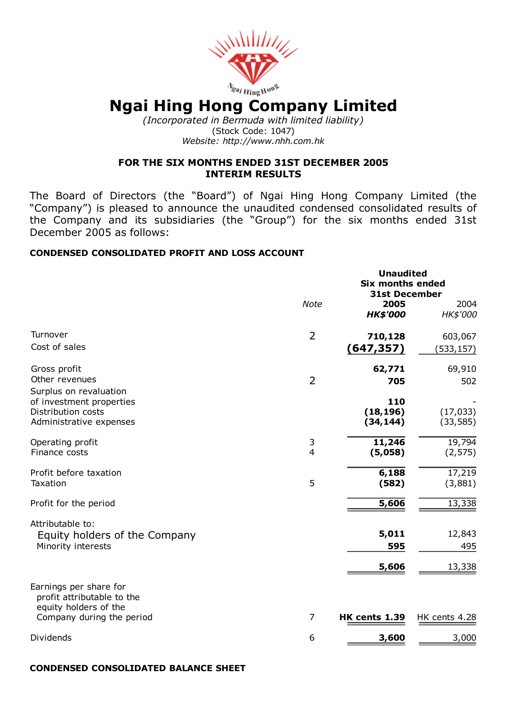

# Ngai Hing Hong Company Limited

*(Incorporated in Bermuda with limited liability)* (Stock Code: 1047) *Website: http://www.nhh.com.hk*

#### FOR THE SIX MONTHS ENDED 31ST DECEMBER 2005 INTERIM RESULTS

The Board of Directors (the "Board") of Ngai Hing Hong Company Limited (the "Company") is pleased to announce the unaudited condensed consolidated results of the Company and its subsidiaries (the "Group") for the six months ended 31st December 2005 as follows:

#### CONDENSED CONSOLIDATED PROFIT AND LOSS ACCOUNT

|                                                                                                     | <b>Unaudited</b><br><b>Six months ended</b><br><b>31st December</b> |                               |                        |
|-----------------------------------------------------------------------------------------------------|---------------------------------------------------------------------|-------------------------------|------------------------|
|                                                                                                     | <b>Note</b>                                                         | 2005<br><b>HK\$'000</b>       | 2004<br>HK\$'000       |
| Turnover                                                                                            | $\overline{2}$                                                      | 710,128                       | 603,067                |
| Cost of sales                                                                                       |                                                                     | (647, 357)                    | (533, 157)             |
| Gross profit                                                                                        |                                                                     | 62,771                        | 69,910                 |
| Other revenues                                                                                      | $\overline{2}$                                                      | 705                           | 502                    |
| Surplus on revaluation<br>of investment properties<br>Distribution costs<br>Administrative expenses |                                                                     | 110<br>(18, 196)<br>(34, 144) | (17, 033)<br>(33, 585) |
|                                                                                                     |                                                                     |                               |                        |
| Operating profit<br>Finance costs                                                                   | 3<br>$\overline{4}$                                                 | 11,246<br>(5,058)             | 19,794<br>(2, 575)     |
| Profit before taxation                                                                              |                                                                     | 6,188                         | 17,219                 |
| Taxation                                                                                            | 5                                                                   | (582)                         | (3,881)                |
| Profit for the period                                                                               |                                                                     | 5,606                         | 13,338                 |
| Attributable to:                                                                                    |                                                                     |                               |                        |
| Equity holders of the Company                                                                       |                                                                     | 5,011                         | 12,843                 |
| Minority interests                                                                                  |                                                                     | 595                           | 495                    |
|                                                                                                     |                                                                     | 5,606                         | 13,338                 |
| Earnings per share for<br>profit attributable to the<br>equity holders of the                       |                                                                     |                               |                        |
| Company during the period                                                                           | 7                                                                   | HK cents 1.39                 | HK cents 4.28          |
| Dividends                                                                                           | 6                                                                   | 3,600                         | 3,000                  |

#### CONDENSED CONSOLIDATED BALANCE SHEET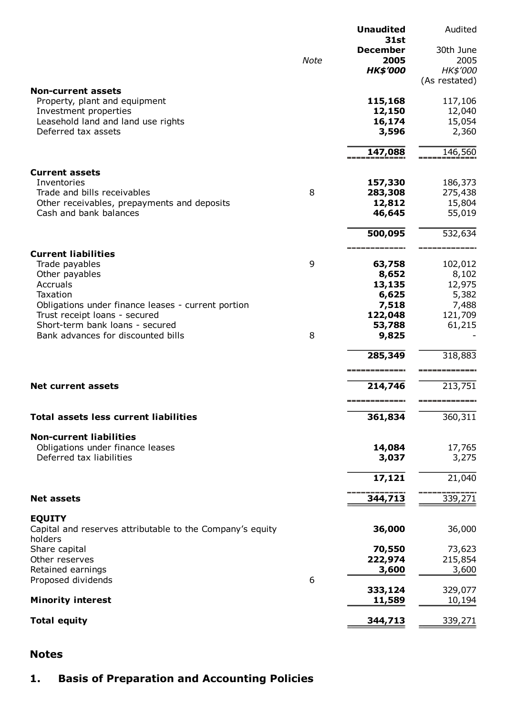|                                                                      |             | <b>Unaudited</b><br><b>31st</b> | Audited                      |
|----------------------------------------------------------------------|-------------|---------------------------------|------------------------------|
|                                                                      |             | <b>December</b>                 | 30th June                    |
|                                                                      | <b>Note</b> | 2005                            | 2005                         |
|                                                                      |             | <b>HK\$'000</b>                 | HK\$'000                     |
| <b>Non-current assets</b>                                            |             |                                 | (As restated)                |
| Property, plant and equipment                                        |             | 115,168                         | 117,106                      |
| Investment properties                                                |             | 12,150                          | 12,040                       |
| Leasehold land and land use rights                                   |             | 16,174                          | 15,054                       |
| Deferred tax assets                                                  |             | 3,596                           | 2,360                        |
|                                                                      |             | 147,088                         | 146,560                      |
| <b>Current assets</b>                                                |             |                                 |                              |
| Inventories                                                          |             | 157,330                         | 186,373                      |
| Trade and bills receivables                                          | 8           | 283,308                         | 275,438                      |
| Other receivables, prepayments and deposits                          |             | 12,812                          | 15,804                       |
| Cash and bank balances                                               |             | 46,645                          | 55,019                       |
|                                                                      |             | 500,095                         | 532,634                      |
| <b>Current liabilities</b>                                           |             |                                 |                              |
| Trade payables                                                       | 9           | 63,758                          | 102,012                      |
| Other payables                                                       |             | 8,652                           | 8,102                        |
| Accruals<br>Taxation                                                 |             | 13,135                          | 12,975                       |
| Obligations under finance leases - current portion                   |             | 6,625<br>7,518                  | 5,382<br>7,488               |
| Trust receipt loans - secured                                        |             | 122,048                         | 121,709                      |
| Short-term bank loans - secured                                      |             | 53,788                          | 61,215                       |
| Bank advances for discounted bills                                   | 8           | 9,825                           |                              |
|                                                                      |             | 285,349                         | 318,883                      |
|                                                                      |             |                                 |                              |
| <b>Net current assets</b>                                            |             | 214,746                         | 213,751<br>_________________ |
| <b>Total assets less current liabilities</b>                         |             | --------------<br>361,834       | 360,311                      |
|                                                                      |             |                                 |                              |
| <b>Non-current liabilities</b><br>Obligations under finance leases   |             | 14,084                          | 17,765                       |
| Deferred tax liabilities                                             |             | 3,037                           | 3,275                        |
|                                                                      |             |                                 |                              |
|                                                                      |             | 17,121                          | 21,040                       |
| <b>Net assets</b>                                                    |             | 344,713                         | 339,271                      |
| <b>EQUITY</b>                                                        |             |                                 |                              |
| Capital and reserves attributable to the Company's equity<br>holders |             | 36,000                          | 36,000                       |
| Share capital                                                        |             | 70,550                          | 73,623                       |
| Other reserves                                                       |             | 222,974                         | 215,854                      |
| Retained earnings                                                    |             | 3,600                           | 3,600                        |
| Proposed dividends                                                   | 6           |                                 |                              |
| <b>Minority interest</b>                                             |             | 333,124<br>11,589               | 329,077<br>10,194            |
| <b>Total equity</b>                                                  |             | 344,713                         | 339,271                      |
|                                                                      |             |                                 |                              |

## Notes

## 1. Basis of Preparation and Accounting Policies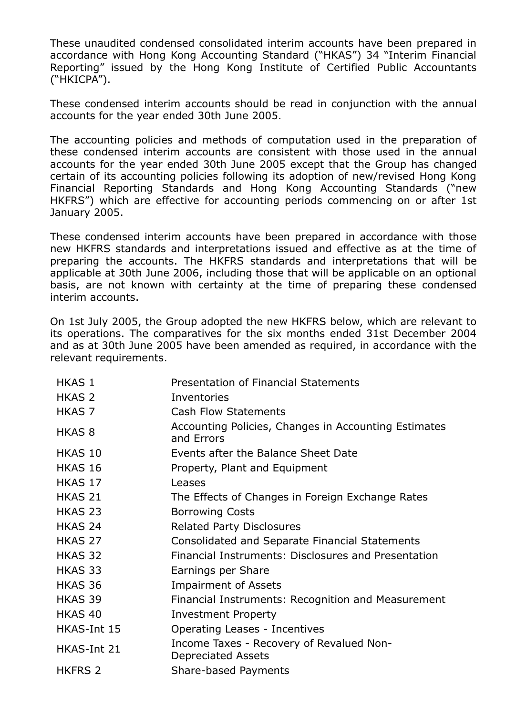These unaudited condensed consolidated interim accounts have been prepared in accordance with Hong Kong Accounting Standard ("HKAS") 34 "Interim Financial Reporting" issued by the Hong Kong Institute of Certified Public Accountants ("HKICPA").

These condensed interim accounts should be read in conjunction with the annual accounts for the year ended 30th June 2005.

The accounting policies and methods of computation used in the preparation of these condensed interim accounts are consistent with those used in the annual accounts for the year ended 30th June 2005 except that the Group has changed certain of its accounting policies following its adoption of new/revised Hong Kong Financial Reporting Standards and Hong Kong Accounting Standards ("new HKFRS") which are effective for accounting periods commencing on or after 1st January 2005.

These condensed interim accounts have been prepared in accordance with those new HKFRS standards and interpretations issued and effective as at the time of preparing the accounts. The HKFRS standards and interpretations that will be applicable at 30th June 2006, including those that will be applicable on an optional basis, are not known with certainty at the time of preparing these condensed interim accounts.

On 1st July 2005, the Group adopted the new HKFRS below, which are relevant to its operations. The comparatives for the six months ended 31st December 2004 and as at 30th June 2005 have been amended as required, in accordance with the relevant requirements.

| <b>HKAS 1</b>     | Presentation of Financial Statements                                  |
|-------------------|-----------------------------------------------------------------------|
| <b>HKAS 2</b>     | Inventories                                                           |
| HKAS <sub>7</sub> | <b>Cash Flow Statements</b>                                           |
| <b>HKAS 8</b>     | Accounting Policies, Changes in Accounting Estimates<br>and Errors    |
| HKAS 10           | Events after the Balance Sheet Date                                   |
| HKAS 16           | Property, Plant and Equipment                                         |
| HKAS 17           | Leases                                                                |
| HKAS 21           | The Effects of Changes in Foreign Exchange Rates                      |
| HKAS 23           | <b>Borrowing Costs</b>                                                |
| HKAS 24           | <b>Related Party Disclosures</b>                                      |
| HKAS 27           | Consolidated and Separate Financial Statements                        |
| HKAS 32           | Financial Instruments: Disclosures and Presentation                   |
| HKAS 33           | Earnings per Share                                                    |
| HKAS 36           | <b>Impairment of Assets</b>                                           |
| HKAS 39           | Financial Instruments: Recognition and Measurement                    |
| HKAS 40           | <b>Investment Property</b>                                            |
| HKAS-Int 15       | Operating Leases - Incentives                                         |
| HKAS-Int 21       | Income Taxes - Recovery of Revalued Non-<br><b>Depreciated Assets</b> |
| <b>HKFRS 2</b>    | Share-based Payments                                                  |
|                   |                                                                       |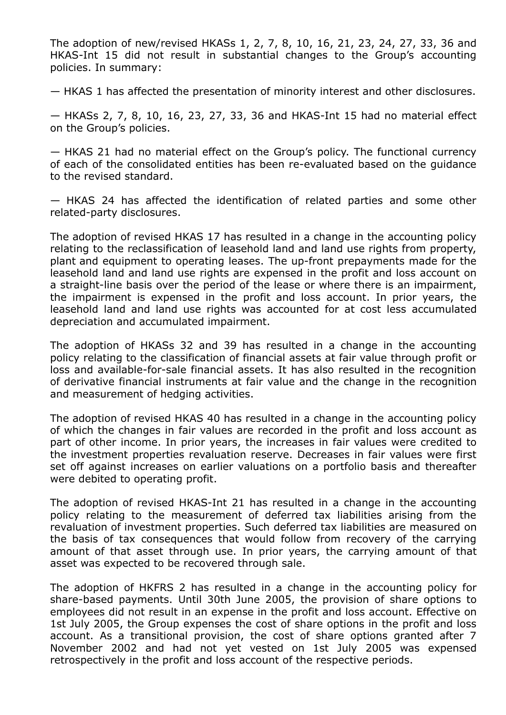The adoption of new/revised HKASs 1, 2, 7, 8, 10, 16, 21, 23, 24, 27, 33, 36 and HKAS-Int 15 did not result in substantial changes to the Group's accounting policies. In summary:

— HKAS 1 has affected the presentation of minority interest and other disclosures.

 $-$  HKASs 2, 7, 8, 10, 16, 23, 27, 33, 36 and HKAS-Int 15 had no material effect on the Group's policies.

— HKAS 21 had no material effect on the Group's policy. The functional currency of each of the consolidated entities has been re-evaluated based on the quidance to the revised standard.

— HKAS 24 has affected the identification of related parties and some other related-party disclosures.

The adoption of revised HKAS 17 has resulted in a change in the accounting policy relating to the reclassification of leasehold land and land use rights from property, plant and equipment to operating leases. The up-front prepayments made for the leasehold land and land use rights are expensed in the profit and loss account on a straight-line basis over the period of the lease or where there is an impairment, the impairment is expensed in the profit and loss account. In prior years, the leasehold land and land use rights was accounted for at cost less accumulated depreciation and accumulated impairment.

The adoption of HKASs 32 and 39 has resulted in a change in the accounting policy relating to the classification of financial assets at fair value through profit or loss and available-for-sale financial assets. It has also resulted in the recognition of derivative financial instruments at fair value and the change in the recognition and measurement of hedging activities.

The adoption of revised HKAS 40 has resulted in a change in the accounting policy of which the changes in fair values are recorded in the profit and loss account as part of other income. In prior years, the increases in fair values were credited to the investment properties revaluation reserve. Decreases in fair values were first set off against increases on earlier valuations on a portfolio basis and thereafter were debited to operating profit.

The adoption of revised HKAS-Int 21 has resulted in a change in the accounting policy relating to the measurement of deferred tax liabilities arising from the revaluation of investment properties. Such deferred tax liabilities are measured on the basis of tax consequences that would follow from recovery of the carrying amount of that asset through use. In prior years, the carrying amount of that asset was expected to be recovered through sale.

The adoption of HKFRS 2 has resulted in a change in the accounting policy for share-based payments. Until 30th June 2005, the provision of share options to employees did not result in an expense in the profit and loss account. Effective on 1st July 2005, the Group expenses the cost of share options in the profit and loss account. As a transitional provision, the cost of share options granted after 7 November 2002 and had not yet vested on 1st July 2005 was expensed retrospectively in the profit and loss account of the respective periods.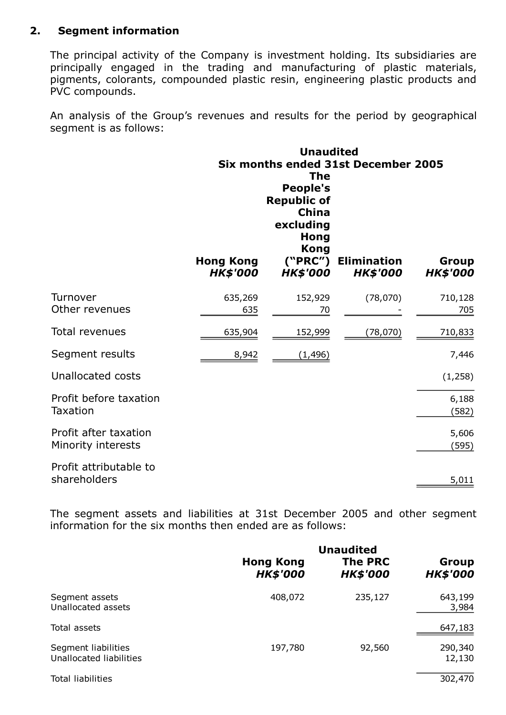## 2. Segment information

The principal activity of the Company is investment holding. Its subsidiaries are principally engaged in the trading and manufacturing of plastic materials, pigments, colorants, compounded plastic resin, engineering plastic products and PVC compounds.

An analysis of the Group's revenues and results for the period by geographical segment is as follows:

|                                             | <b>Hong Kong</b> | <b>Unaudited</b><br><b>The</b><br><b>People's</b><br><b>Republic of</b><br><b>China</b><br>excluding<br>Hong<br><b>Kong</b><br>("PRC") | Six months ended 31st December 2005<br><b>Elimination</b> | Group                 |
|---------------------------------------------|------------------|----------------------------------------------------------------------------------------------------------------------------------------|-----------------------------------------------------------|-----------------------|
|                                             | <b>HK\$'000</b>  | <b>HK\$'000</b>                                                                                                                        | <b>HK\$'000</b>                                           | <b>HK\$'000</b>       |
| Turnover                                    | 635,269          | 152,929                                                                                                                                | (78,070)                                                  | 710,128               |
| Other revenues                              | 635              | 70                                                                                                                                     |                                                           | 705                   |
| <b>Total revenues</b>                       | 635,904          | 152,999                                                                                                                                | (78,070)                                                  | 710,833               |
| Segment results                             | 8,942            | <u>(1,496)</u>                                                                                                                         |                                                           | 7,446                 |
| <b>Unallocated costs</b>                    |                  |                                                                                                                                        |                                                           | (1,258)               |
| Profit before taxation                      |                  |                                                                                                                                        |                                                           | 6,188                 |
| <b>Taxation</b>                             |                  |                                                                                                                                        |                                                           | (582)                 |
| Profit after taxation<br>Minority interests |                  |                                                                                                                                        |                                                           | 5,606<br><u>(595)</u> |
| Profit attributable to<br>shareholders      |                  |                                                                                                                                        |                                                           | 5,011                 |

The segment assets and liabilities at 31st December 2005 and other segment information for the six months then ended are as follows:

|                                                | <b>Hong Kong</b><br><b>HK\$'000</b> | <b>Unaudited</b><br><b>The PRC</b><br><b>HK\$'000</b> | Group<br><b>HK\$'000</b> |
|------------------------------------------------|-------------------------------------|-------------------------------------------------------|--------------------------|
| Segment assets<br>Unallocated assets           | 408,072                             | 235,127                                               | 643,199<br>3,984         |
| Total assets                                   |                                     |                                                       | 647,183                  |
| Segment liabilities<br>Unallocated liabilities | 197,780                             | 92,560                                                | 290,340<br>12,130        |
| <b>Total liabilities</b>                       |                                     |                                                       | 302,470                  |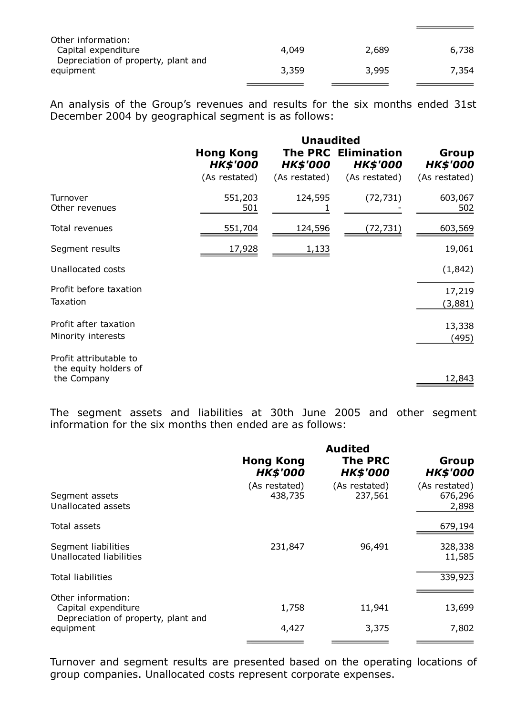| Other information:<br>Capital expenditure        | 4,049 | 2,689 | 6,738 |
|--------------------------------------------------|-------|-------|-------|
| Depreciation of property, plant and<br>equipment | 3,359 | 3,995 | 7,354 |

An analysis of the Group's revenues and results for the six months ended 31st December 2004 by geographical segment is as follows:

|                                                                | <b>Unaudited</b>                    |                 |                                               |                          |
|----------------------------------------------------------------|-------------------------------------|-----------------|-----------------------------------------------|--------------------------|
|                                                                | <b>Hong Kong</b><br><b>HK\$'000</b> | <b>HK\$'000</b> | <b>The PRC Elimination</b><br><b>HK\$'000</b> | Group<br><b>HK\$'000</b> |
|                                                                | (As restated)                       | (As restated)   | (As restated)                                 | (As restated)            |
| Turnover<br>Other revenues                                     | 551,203<br>501                      | 124,595         | (72, 731)                                     | 603,067<br>502           |
| Total revenues                                                 | 551,704                             | 124,596         | (72,731)                                      | 603,569                  |
| Segment results                                                | 17,928                              | 1,133           |                                               | 19,061                   |
| Unallocated costs                                              |                                     |                 |                                               | (1,842)                  |
| Profit before taxation<br>Taxation                             |                                     |                 |                                               | 17,219<br>(3,881)        |
| Profit after taxation<br>Minority interests                    |                                     |                 |                                               | 13,338<br>(495)          |
| Profit attributable to<br>the equity holders of<br>the Company |                                     |                 |                                               | 12,843                   |

The segment assets and liabilities at 30th June 2005 and other segment information for the six months then ended are as follows:

| <b>Hong Kong</b><br><b>HK\$'000</b> | <b>Audited</b><br><b>The PRC</b><br><b>HK\$'000</b> | Group<br><b>HK\$'000</b>          |
|-------------------------------------|-----------------------------------------------------|-----------------------------------|
| 438,735                             | 237,561                                             | (As restated)<br>676,296<br>2,898 |
|                                     |                                                     | 679,194                           |
| 231,847                             | 96,491                                              | 328,338<br>11,585                 |
|                                     |                                                     | 339,923                           |
| 1,758<br>4,427                      | 11,941<br>3,375                                     | 13,699<br>7,802                   |
|                                     | (As restated)                                       | (As restated)                     |

Turnover and segment results are presented based on the operating locations of group companies. Unallocated costs represent corporate expenses.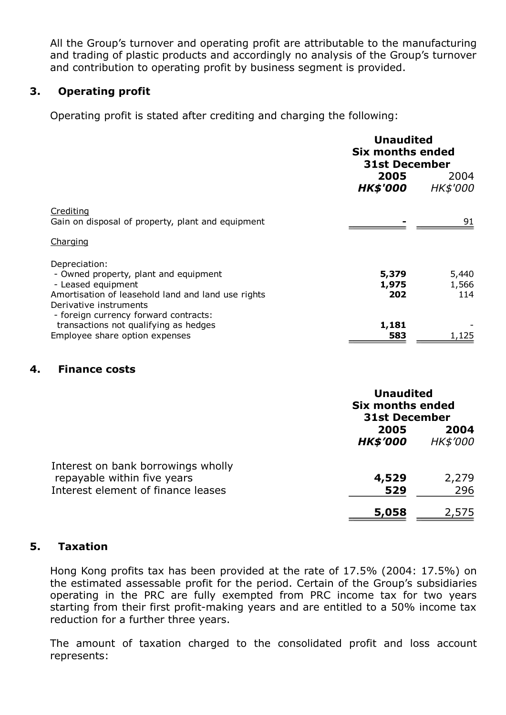All the Group's turnover and operating profit are attributable to the manufacturing and trading of plastic products and accordingly no analysis of the Group's turnover and contribution to operating profit by business segment is provided.

## 3. Operating profit

Operating profit is stated after crediting and charging the following:

|                                                                                                                                                              | <b>Unaudited</b><br>Six months ended<br><b>31st December</b> |                       |
|--------------------------------------------------------------------------------------------------------------------------------------------------------------|--------------------------------------------------------------|-----------------------|
|                                                                                                                                                              | 2005<br><b>HK\$'000</b>                                      | 2004<br>HK\$'000      |
| <u>Crediting</u><br>Gain on disposal of property, plant and equipment                                                                                        |                                                              | 91                    |
| Charging                                                                                                                                                     |                                                              |                       |
| Depreciation:<br>- Owned property, plant and equipment<br>- Leased equipment<br>Amortisation of leasehold land and land use rights<br>Derivative instruments | 5,379<br>1,975<br>202                                        | 5,440<br>1,566<br>114 |
| - foreign currency forward contracts:<br>transactions not qualifying as hedges<br>Employee share option expenses                                             | 1,181<br>583                                                 | 1,125                 |

## 4. Finance costs

|                                                                                                         | <b>Unaudited</b><br><b>Six months ended</b><br><b>31st December</b> |                  |
|---------------------------------------------------------------------------------------------------------|---------------------------------------------------------------------|------------------|
|                                                                                                         | 2005<br><b>HK\$'000</b>                                             | 2004<br>HK\$'000 |
| Interest on bank borrowings wholly<br>repayable within five years<br>Interest element of finance leases | 4,529<br>529                                                        | 2,279<br>296     |
|                                                                                                         | 5,058                                                               | 2,575            |

## 5. Taxation

Hong Kong profits tax has been provided at the rate of 17.5% (2004: 17.5%) on the estimated assessable profit for the period. Certain of the Group's subsidiaries operating in the PRC are fully exempted from PRC income tax for two years starting from their first profit-making years and are entitled to a 50% income tax reduction for a further three years.

The amount of taxation charged to the consolidated profit and loss account represents: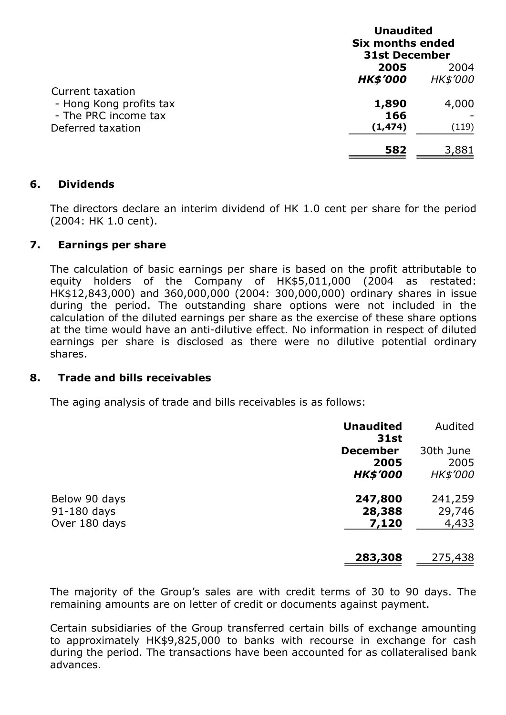|                                                                                          | <b>Unaudited</b><br><b>Six months ended</b><br><b>31st December</b> |                 |
|------------------------------------------------------------------------------------------|---------------------------------------------------------------------|-----------------|
|                                                                                          | 2005                                                                | 2004            |
|                                                                                          | <b>HK\$'000</b>                                                     | <b>HK\$'000</b> |
| Current taxation<br>- Hong Kong profits tax<br>- The PRC income tax<br>Deferred taxation | 1,890<br>166<br>(1, 474)                                            | 4,000<br>(119)  |
|                                                                                          | 582                                                                 | 3,881           |

## 6. Dividends

The directors declare an interim dividend of HK 1.0 cent per share for the period (2004: HK 1.0 cent).

## 7. Earnings per share

The calculation of basic earnings per share is based on the profit attributable to equity holders of the Company of HK\$5,011,000 (2004 as restated: HK\$12,843,000) and 360,000,000 (2004: 300,000,000) ordinary shares in issue during the period. The outstanding share options were not included in the calculation of the diluted earnings per share as the exercise of these share options at the time would have an anti-dilutive effect. No information in respect of diluted earnings per share is disclosed as there were no dilutive potential ordinary shares.

## 8. Trade and bills receivables

The aging analysis of trade and bills receivables is as follows:

|                                               | <b>Unaudited</b><br><b>31st</b>            | Audited                              |
|-----------------------------------------------|--------------------------------------------|--------------------------------------|
|                                               | <b>December</b><br>2005<br><b>HK\$'000</b> | 30th June<br>2005<br><b>HK\$'000</b> |
| Below 90 days<br>91-180 days<br>Over 180 days | 247,800<br>28,388<br>7,120                 | 241,259<br>29,746<br>4,433           |
|                                               | 283,308                                    | 275,438                              |

The majority of the Group's sales are with credit terms of 30 to 90 days. The remaining amounts are on letter of credit or documents against payment.

Certain subsidiaries of the Group transferred certain bills of exchange amounting to approximately HK\$9,825,000 to banks with recourse in exchange for cash during the period. The transactions have been accounted for as collateralised bank advances.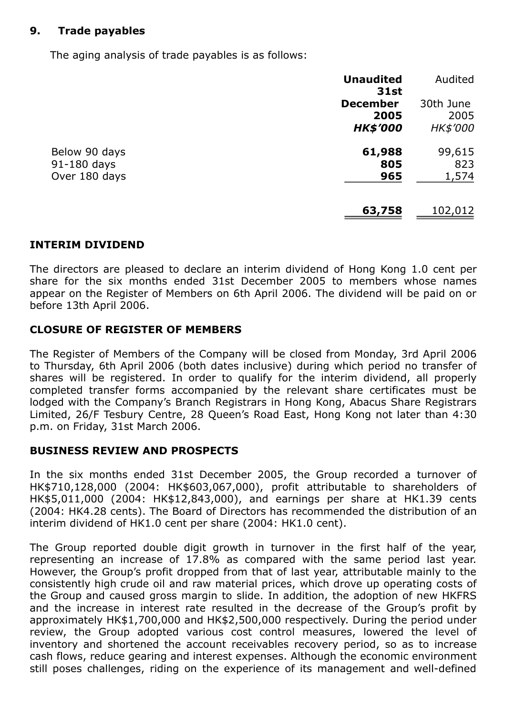## 9. Trade payables

The aging analysis of trade payables is as follows:

|                                               | <b>Unaudited</b><br><b>31st</b>            | Audited                       |
|-----------------------------------------------|--------------------------------------------|-------------------------------|
|                                               | <b>December</b><br>2005<br><b>HK\$'000</b> | 30th June<br>2005<br>HK\$'000 |
| Below 90 days<br>91-180 days<br>Over 180 days | 61,988<br>805<br>965                       | 99,615<br>823<br>1,574        |
|                                               | 63,758                                     | 102,012                       |

#### INTERIM DIVIDEND

The directors are pleased to declare an interim dividend of Hong Kong 1.0 cent per share for the six months ended 31st December 2005 to members whose names appear on the Register of Members on 6th April 2006. The dividend will be paid on or before 13th April 2006.

#### CLOSURE OF REGISTER OF MEMBERS

The Register of Members of the Company will be closed from Monday, 3rd April 2006 to Thursday, 6th April 2006 (both dates inclusive) during which period no transfer of shares will be registered. In order to qualify for the interim dividend, all properly completed transfer forms accompanied by the relevant share certificates must be lodged with the Company's Branch Registrars in Hong Kong, Abacus Share Registrars Limited, 26/F Tesbury Centre, 28 Queen's Road East, Hong Kong not later than 4:30 p.m. on Friday, 31st March 2006.

#### BUSINESS REVIEW AND PROSPECTS

In the six months ended 31st December 2005, the Group recorded a turnover of HK\$710,128,000 (2004: HK\$603,067,000), profit attributable to shareholders of HK\$5,011,000 (2004: HK\$12,843,000), and earnings per share at HK1.39 cents (2004: HK4.28 cents). The Board of Directors has recommended the distribution of an interim dividend of HK1.0 cent per share (2004: HK1.0 cent).

The Group reported double digit growth in turnover in the first half of the year, representing an increase of 17.8% as compared with the same period last year. However, the Group's profit dropped from that of last year, attributable mainly to the consistently high crude oil and raw material prices, which drove up operating costs of the Group and caused gross margin to slide. In addition, the adoption of new HKFRS and the increase in interest rate resulted in the decrease of the Group's profit by approximately HK\$1,700,000 and HK\$2,500,000 respectively. During the period under review, the Group adopted various cost control measures, lowered the level of inventory and shortened the account receivables recovery period, so as to increase cash flows, reduce gearing and interest expenses. Although the economic environment still poses challenges, riding on the experience of its management and well-defined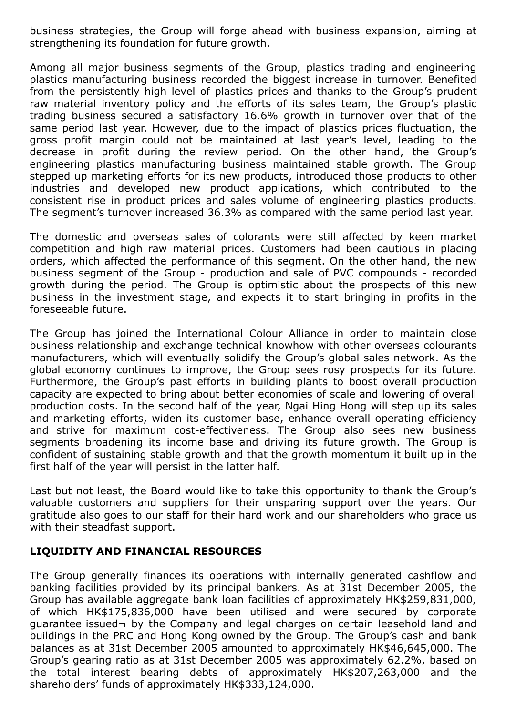business strategies, the Group will forge ahead with business expansion, aiming at strengthening its foundation for future growth.

Among all major business segments of the Group, plastics trading and engineering plastics manufacturing business recorded the biggest increase in turnover. Benefited from the persistently high level of plastics prices and thanks to the Group's prudent raw material inventory policy and the efforts of its sales team, the Group's plastic trading business secured a satisfactory 16.6% growth in turnover over that of the same period last year. However, due to the impact of plastics prices fluctuation, the gross profit margin could not be maintained at last year's level, leading to the decrease in profit during the review period. On the other hand, the Group's engineering plastics manufacturing business maintained stable growth. The Group stepped up marketing efforts for its new products, introduced those products to other industries and developed new product applications, which contributed to the consistent rise in product prices and sales volume of engineering plastics products. The segment's turnover increased 36.3% as compared with the same period last year.

The domestic and overseas sales of colorants were still affected by keen market competition and high raw material prices. Customers had been cautious in placing orders, which affected the performance of this segment. On the other hand, the new business segment of the Group - production and sale of PVC compounds - recorded growth during the period. The Group is optimistic about the prospects of this new business in the investment stage, and expects it to start bringing in profits in the foreseeable future.

The Group has joined the International Colour Alliance in order to maintain close business relationship and exchange technical knowhow with other overseas colourants manufacturers, which will eventually solidify the Group's global sales network. As the global economy continues to improve, the Group sees rosy prospects for its future. Furthermore, the Group's past efforts in building plants to boost overall production capacity are expected to bring about better economies of scale and lowering of overall production costs. In the second half of the year, Ngai Hing Hong will step up its sales and marketing efforts, widen its customer base, enhance overall operating efficiency and strive for maximum cost-effectiveness. The Group also sees new business segments broadening its income base and driving its future growth. The Group is confident of sustaining stable growth and that the growth momentum it built up in the first half of the year will persist in the latter half.

Last but not least, the Board would like to take this opportunity to thank the Group's valuable customers and suppliers for their unsparing support over the years. Our gratitude also goes to our staff for their hard work and our shareholders who grace us with their steadfast support.

## LIQUIDITY AND FINANCIAL RESOURCES

The Group generally finances its operations with internally generated cashflow and banking facilities provided by its principal bankers. As at 31st December 2005, the Group has available aggregate bank loan facilities of approximately HK\$259,831,000, of which HK\$175,836,000 have been utilised and were secured by corporate guarantee issued¬ by the Company and legal charges on certain leasehold land and buildings in the PRC and Hong Kong owned by the Group. The Group's cash and bank balances as at 31st December 2005 amounted to approximately HK\$46,645,000. The Group's gearing ratio as at 31st December 2005 was approximately 62.2%, based on the total interest bearing debts of approximately HK\$207,263,000 and the shareholders' funds of approximately HK\$333,124,000.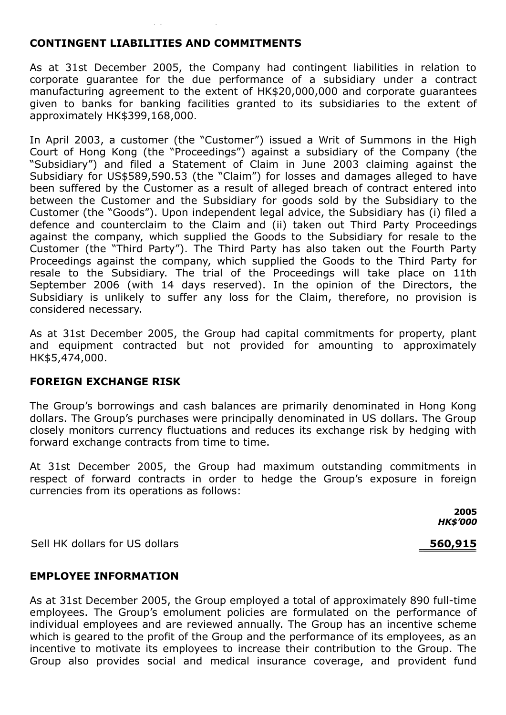## CONTINGENT LIABILITIES AND COMMITMENTS

As at 31st December 2005, the Company had contingent liabilities in relation to corporate guarantee for the due performance of a subsidiary under a contract manufacturing agreement to the extent of HK\$20,000,000 and corporate guarantees given to banks for banking facilities granted to its subsidiaries to the extent of approximately HK\$399,168,000.

In April 2003, a customer (the "Customer") issued a Writ of Summons in the High Court of Hong Kong (the "Proceedings") against a subsidiary of the Company (the "Subsidiary") and filed a Statement of Claim in June 2003 claiming against the Subsidiary for US\$589,590.53 (the "Claim") for losses and damages alleged to have been suffered by the Customer as a result of alleged breach of contract entered into between the Customer and the Subsidiary for goods sold by the Subsidiary to the Customer (the "Goods"). Upon independent legal advice, the Subsidiary has (i) filed a defence and counterclaim to the Claim and (ii) taken out Third Party Proceedings against the company, which supplied the Goods to the Subsidiary for resale to the Customer (the "Third Party"). The Third Party has also taken out the Fourth Party Proceedings against the company, which supplied the Goods to the Third Party for resale to the Subsidiary. The trial of the Proceedings will take place on 11th September 2006 (with 14 days reserved). In the opinion of the Directors, the Subsidiary is unlikely to suffer any loss for the Claim, therefore, no provision is considered necessary.

As at 31st December 2005, the Group had capital commitments for property, plant and equipment contracted but not provided for amounting to approximately HK\$5,474,000.

#### FOREIGN EXCHANGE RISK

The Group's borrowings and cash balances are primarily denominated in Hong Kong dollars. The Group's purchases were principally denominated in US dollars. The Group closely monitors currency fluctuations and reduces its exchange risk by hedging with forward exchange contracts from time to time.

At 31st December 2005, the Group had maximum outstanding commitments in respect of forward contracts in order to hedge the Group's exposure in foreign currencies from its operations as follows:

> 2005 *HK\$'000*

Sell HK dollars for US dollars 560,915

#### EMPLOYEE INFORMATION

As at 31st December 2005, the Group employed a total of approximately 890 full-time employees. The Group's emolument policies are formulated on the performance of individual employees and are reviewed annually. The Group has an incentive scheme which is geared to the profit of the Group and the performance of its employees, as an incentive to motivate its employees to increase their contribution to the Group. The Group also provides social and medical insurance coverage, and provident fund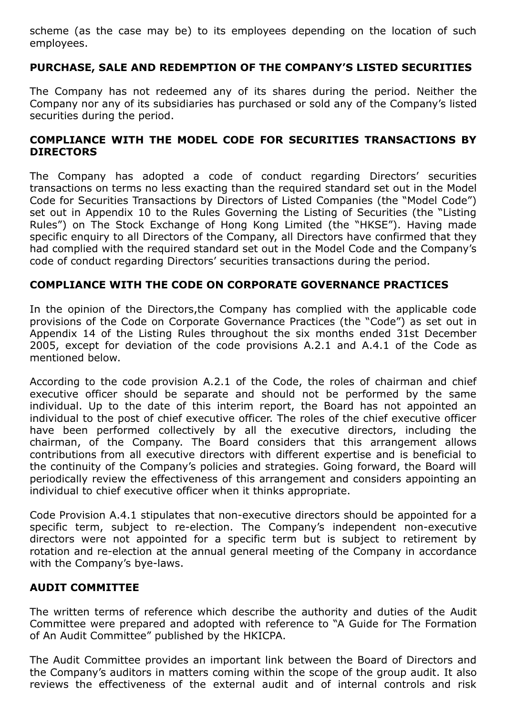scheme (as the case may be) to its employees depending on the location of such employees.

## PURCHASE, SALE AND REDEMPTION OF THE COMPANY'S LISTED SECURITIES

The Company has not redeemed any of its shares during the period. Neither the Company nor any of its subsidiaries has purchased or sold any of the Company's listed securities during the period.

## COMPLIANCE WITH THE MODEL CODE FOR SECURITIES TRANSACTIONS BY DIRECTORS

The Company has adopted a code of conduct regarding Directors' securities transactions on terms no less exacting than the required standard set out in the Model Code for Securities Transactions by Directors of Listed Companies (the "Model Code") set out in Appendix 10 to the Rules Governing the Listing of Securities (the "Listing Rules") on The Stock Exchange of Hong Kong Limited (the "HKSE"). Having made specific enquiry to all Directors of the Company, all Directors have confirmed that they had complied with the required standard set out in the Model Code and the Company's code of conduct regarding Directors' securities transactions during the period.

## COMPLIANCE WITH THE CODE ON CORPORATE GOVERNANCE PRACTICES

In the opinion of the Directors,the Company has complied with the applicable code provisions of the Code on Corporate Governance Practices (the "Code") as set out in Appendix 14 of the Listing Rules throughout the six months ended 31st December 2005, except for deviation of the code provisions A.2.1 and A.4.1 of the Code as mentioned below.

According to the code provision A.2.1 of the Code, the roles of chairman and chief executive officer should be separate and should not be performed by the same individual. Up to the date of this interim report, the Board has not appointed an individual to the post of chief executive officer. The roles of the chief executive officer have been performed collectively by all the executive directors, including the chairman, of the Company. The Board considers that this arrangement allows contributions from all executive directors with different expertise and is beneficial to the continuity of the Company's policies and strategies. Going forward, the Board will periodically review the effectiveness of this arrangement and considers appointing an individual to chief executive officer when it thinks appropriate.

Code Provision A.4.1 stipulates that non-executive directors should be appointed for a specific term, subject to re-election. The Company's independent non-executive directors were not appointed for a specific term but is subject to retirement by rotation and re-election at the annual general meeting of the Company in accordance with the Company's bye-laws.

## AUDIT COMMITTEE

The written terms of reference which describe the authority and duties of the Audit Committee were prepared and adopted with reference to "A Guide for The Formation of An Audit Committee" published by the HKICPA.

The Audit Committee provides an important link between the Board of Directors and the Company's auditors in matters coming within the scope of the group audit. It also reviews the effectiveness of the external audit and of internal controls and risk